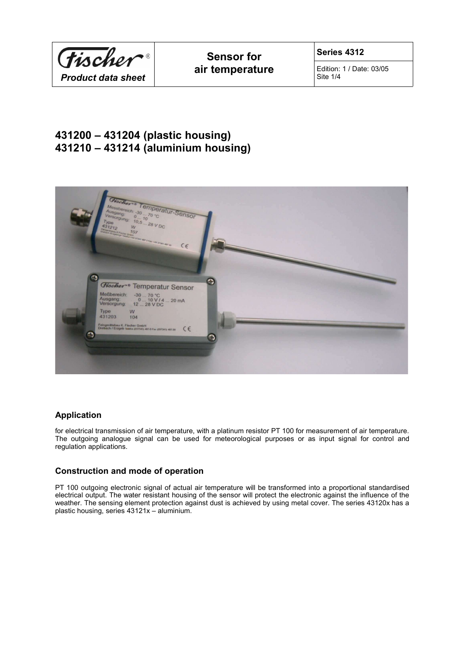

Edition: 1 / Date: 03/05 Site 1/4

# **431200 – 431204 (plastic housing) 431210 – 431214 (aluminium housing)**



# **Application**

for electrical transmission of air temperature, with a platinum resistor PT 100 for measurement of air temperature. The outgoing analogue signal can be used for meteorological purposes or as input signal for control and regulation applications.

# **Construction and mode of operation**

PT 100 outgoing electronic signal of actual air temperature will be transformed into a proportional standardised electrical output. The water resistant housing of the sensor will protect the electronic against the influence of the weather. The sensing element protection against dust is achieved by using metal cover. The series 43120x has a plastic housing, series 43121x – aluminium.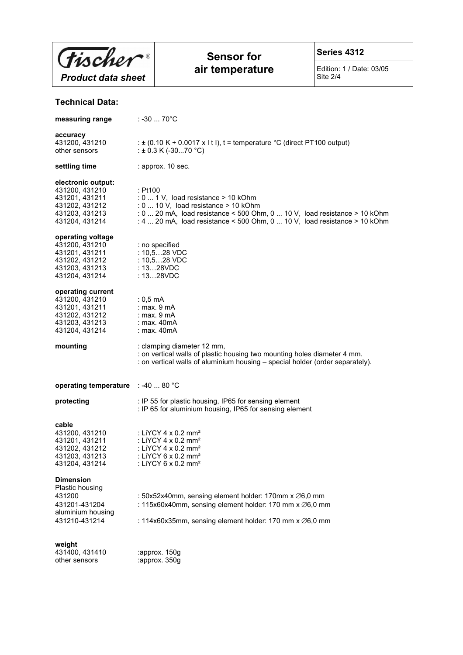

# **Sensor for air temperature**

**Series 4312**

Edition: 1 / Date: 03/05 Site 2/4

# **Technical Data:**

| measuring range                                                                                              | ∴-30  70°C                                                                                                                                                                                                                                                |  |
|--------------------------------------------------------------------------------------------------------------|-----------------------------------------------------------------------------------------------------------------------------------------------------------------------------------------------------------------------------------------------------------|--|
| accuracy<br>431200, 431210<br>other sensors                                                                  | : $\pm$ (0.10 K + 0.0017 x l t l), t = temperature °C (direct PT100 output)<br>: $\pm$ 0.3 K (-3070 °C)                                                                                                                                                   |  |
| settling time                                                                                                | : approx. 10 sec.                                                                                                                                                                                                                                         |  |
| electronic output:<br>431200, 431210<br>431201, 431211<br>431202, 431212<br>431203, 431213<br>431204, 431214 | : Pt100<br>$: 0 1$ V, load resistance > 10 kOhm<br>$: 0 \ldots 10$ V, load resistance > 10 kOhm<br>: 0  20 mA, load resistance < 500 Ohm, 0  10 V, load resistance > 10 kOhm<br>: 4  20 mA, load resistance < 500 Ohm, 0  10 V, load resistance > 10 kOhm |  |
| operating voltage<br>431200, 431210<br>431201, 431211<br>431202, 431212<br>431203, 431213<br>431204, 431214  | : no specified<br>: $10,528$ VDC<br>: $10, 528$ VDC<br>: 1328VDC<br>: 1328VDC                                                                                                                                                                             |  |
| operating current<br>431200, 431210<br>431201, 431211<br>431202, 431212<br>431203, 431213<br>431204, 431214  | $: 0.5 \text{ mA}$<br>: max. $9 \text{ mA}$<br>: $max.9mA$<br>: max. $40mA$<br>: max. $40mA$                                                                                                                                                              |  |
| mounting                                                                                                     | : clamping diameter 12 mm,                                                                                                                                                                                                                                |  |
|                                                                                                              | : on vertical walls of plastic housing two mounting holes diameter 4 mm.<br>: on vertical walls of aluminium housing - special holder (order separately).                                                                                                 |  |
| operating temperature : -40  80 °C                                                                           |                                                                                                                                                                                                                                                           |  |
| protecting                                                                                                   | : IP 55 for plastic housing, IP65 for sensing element<br>: IP 65 for aluminium housing, IP65 for sensing element                                                                                                                                          |  |
| cable<br>431200, 431210<br>431201, 431211<br>431202, 431212<br>431203, 431213<br>431204, 431214              | : LiYCY 4 $\times$ 0.2 mm <sup>2</sup><br>: LiYCY 4 x 0.2 mm <sup>2</sup><br>: LiYCY 4 x 0.2 mm <sup>2</sup><br>: LiYCY 6 x 0.2 mm <sup>2</sup><br>: LiYCY 6 x 0.2 mm <sup>2</sup>                                                                        |  |
| <b>Dimension</b><br>Plastic housing<br>431200<br>431201-431204<br>aluminium housing<br>431210-431214         | : 50x52x40mm, sensing element holder: 170mm x Ø6,0 mm<br>: 115x60x40mm, sensing element holder: 170 mm x Ø6,0 mm<br>: 114x60x35mm, sensing element holder: 170 mm x Ø6,0 mm                                                                               |  |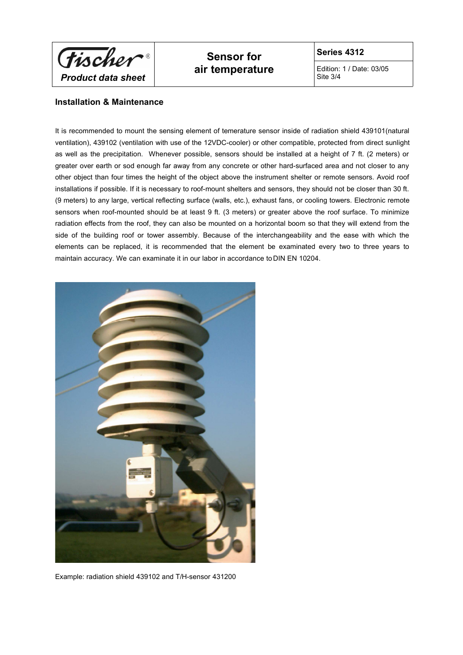

# **Sensor for air temperature**

**Series 4312**

Edition: 1 / Date: 03/05 Site 3/4

### **Installation & Maintenance**

It is recommended to mount the sensing element of temerature sensor inside of radiation shield 439101(natural ventilation), 439102 (ventilation with use of the 12VDC-cooler) or other compatible, protected from direct sunlight as well as the precipitation. Whenever possible, sensors should be installed at a height of 7 ft. (2 meters) or greater over earth or sod enough far away from any concrete or other hard-surfaced area and not closer to any other object than four times the height of the object above the instrument shelter or remote sensors. Avoid roof installations if possible. If it is necessary to roof-mount shelters and sensors, they should not be closer than 30 ft. (9 meters) to any large, vertical reflecting surface (walls, etc.), exhaust fans, or cooling towers. Electronic remote sensors when roof-mounted should be at least 9 ft. (3 meters) or greater above the roof surface. To minimize radiation effects from the roof, they can also be mounted on a horizontal boom so that they will extend from the side of the building roof or tower assembly. Because of the interchangeability and the ease with which the elements can be replaced, it is recommended that the element be examinated every two to three years to maintain accuracy. We can examinate it in our labor in accordance to DIN EN 10204.



Example: radiation shield 439102 and T/H-sensor 431200